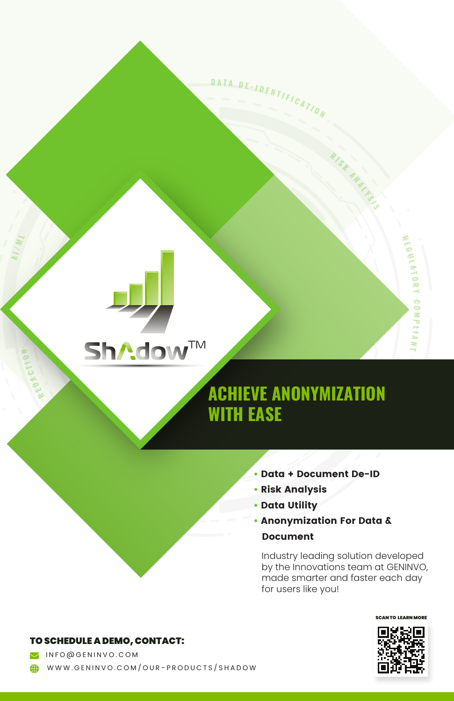

**I / M L**

**R E D A**

**C T I O N**

## **ACHIEVE ANONYMIZATION WITH EASE**

**• Data + Document De-ID**

**<sup>R</sup> <sup>I</sup> <sup>S</sup> <sup>K</sup>**

**<sup>D</sup> <sup>A</sup> <sup>T</sup> <sup>A</sup> <sup>D</sup> <sup>E</sup> - <sup>I</sup> <sup>D</sup> <sup>E</sup> <sup>N</sup> <sup>T</sup> <sup>I</sup> <sup>F</sup> <sup>I</sup> <sup>C</sup> <sup>A</sup> <sup>T</sup> <sup>I</sup> <sup>O</sup> <sup>N</sup>**

**A N A L Y S I S**

**R E G U L A T O R Y**

**C O M P L I A**

**N**

- **Risk Analysis**
- **Data Utility**
- **Anonymization For Data & Document**

Industry leading solution developed by the Innovations team at GENINVO, made smarter and faster each day for users like you!



TO SCHEDULE A DEMO, CONTACT:

 INFO@GENINVO.COM WWW.GENINVO.COM/OUR-PRODUCTS/SHADOW